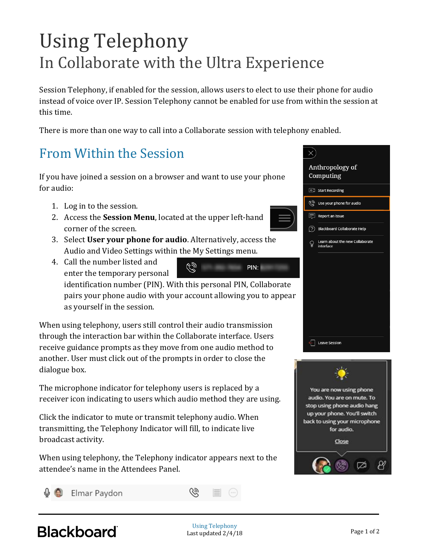## Using Telephony In Collaborate with the Ultra Experience

Session Telephony, if enabled for the session, allows users to elect to use their phone for audio instead of voice over IP. Session Telephony cannot be enabled for use from within the session at this time.

There is more than one way to call into a Collaborate session with telephony enabled.

## From Within the Session

If you have joined a session on a browser and want to use your phone for audio:

- 1. Log in to the session.
- 2. Access the **Session Menu**, located at the upper left-hand corner of the screen.
- 3. Select **User your phone for audio**. Alternatively, access the Audio and Video Settings within the My Settings menu.
- 4. Call the number listed and
	- enter the temporary personal

Q PIN:

identification number (PIN). With this personal PIN, Collaborate pairs your phone audio with your account allowing you to appear as yourself in the session.

When using telephony, users still control their audio transmission through the interaction bar within the Collaborate interface. Users receive guidance prompts as they move from one audio method to another. User must click out of the prompts in order to close the dialogue box.

The microphone indicator for telephony users is replaced by a receiver icon indicating to users which audio method they are using.

Click the indicator to mute or transmit telephony audio. When transmitting, the Telephony Indicator will fill, to indicate live broadcast activity.

When using telephony, the Telephony indicator appears next to the attendee's name in the Attendees Panel.